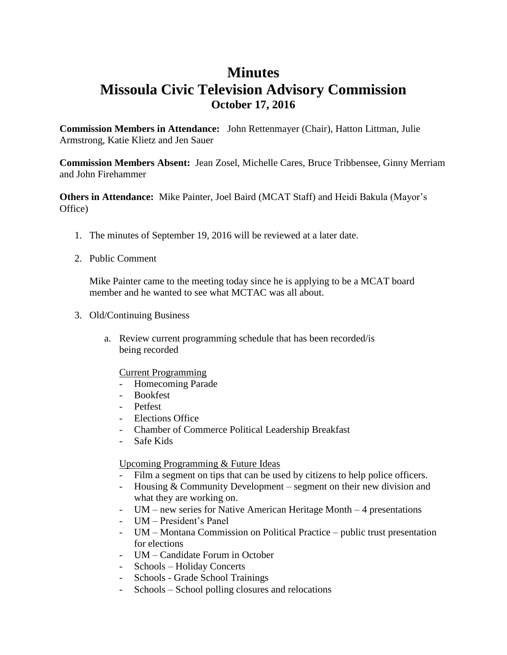## **Minutes Missoula Civic Television Advisory Commission October 17, 2016**

**Commission Members in Attendance:** John Rettenmayer (Chair), Hatton Littman, Julie Armstrong, Katie Klietz and Jen Sauer

**Commission Members Absent:** Jean Zosel, Michelle Cares, Bruce Tribbensee, Ginny Merriam and John Firehammer

**Others in Attendance:** Mike Painter, Joel Baird (MCAT Staff) and Heidi Bakula (Mayor's Office)

- 1. The minutes of September 19, 2016 will be reviewed at a later date.
- 2. Public Comment

Mike Painter came to the meeting today since he is applying to be a MCAT board member and he wanted to see what MCTAC was all about.

- 3. Old/Continuing Business
	- a. Review current programming schedule that has been recorded/is being recorded

## Current Programming

- Homecoming Parade
- Bookfest
- Petfest
- Elections Office
- Chamber of Commerce Political Leadership Breakfast
- Safe Kids

## Upcoming Programming & Future Ideas

- Film a segment on tips that can be used by citizens to help police officers.
- Housing & Community Development segment on their new division and what they are working on.
- UM new series for Native American Heritage Month 4 presentations
- UM President's Panel
- UM Montana Commission on Political Practice public trust presentation for elections
- UM Candidate Forum in October
- Schools Holiday Concerts
- Schools Grade School Trainings
- Schools School polling closures and relocations